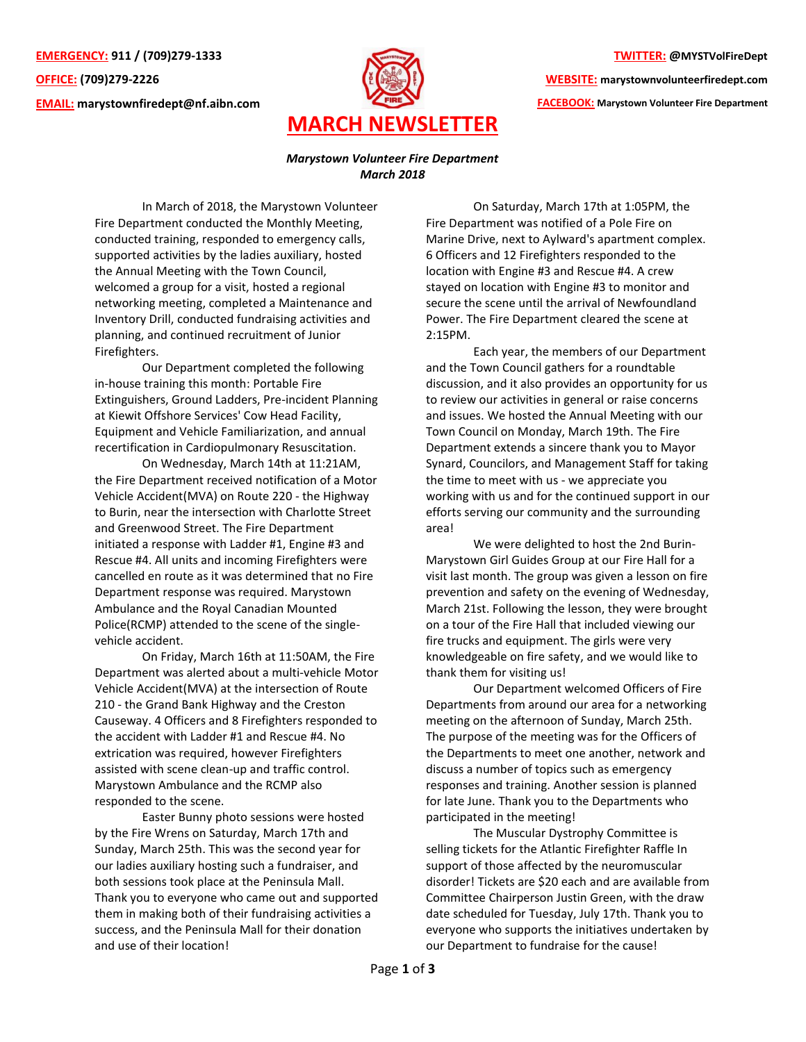**EMERGENCY: 911 / (709)279-1333 OFFICE: (709)279-2226 EMAIL: [marystownfiredept@nf.aibn.com](mailto:marystownfiredept@nf.aibn.com)**



## **TWITTER: @MYSTVolFireDept**

**WEBSITE: marystownvolunteerfiredept.com** 

**FACEBOOK: Marystown Volunteer Fire Department**

## *Marystown Volunteer Fire Department March 2018*

In March of 2018, the Marystown Volunteer Fire Department conducted the Monthly Meeting, conducted training, responded to emergency calls, supported activities by the ladies auxiliary, hosted the Annual Meeting with the Town Council, welcomed a group for a visit, hosted a regional networking meeting, completed a Maintenance and Inventory Drill, conducted fundraising activities and planning, and continued recruitment of Junior Firefighters.

Our Department completed the following in-house training this month: Portable Fire Extinguishers, Ground Ladders, Pre-incident Planning at Kiewit Offshore Services' Cow Head Facility, Equipment and Vehicle Familiarization, and annual recertification in Cardiopulmonary Resuscitation.

On Wednesday, March 14th at 11:21AM, the Fire Department received notification of a Motor Vehicle Accident(MVA) on Route 220 - the Highway to Burin, near the intersection with Charlotte Street and Greenwood Street. The Fire Department initiated a response with Ladder #1, Engine #3 and Rescue #4. All units and incoming Firefighters were cancelled en route as it was determined that no Fire Department response was required. Marystown Ambulance and the Royal Canadian Mounted Police(RCMP) attended to the scene of the singlevehicle accident.

On Friday, March 16th at 11:50AM, the Fire Department was alerted about a multi-vehicle Motor Vehicle Accident(MVA) at the intersection of Route 210 - the Grand Bank Highway and the Creston Causeway. 4 Officers and 8 Firefighters responded to the accident with Ladder #1 and Rescue #4. No extrication was required, however Firefighters assisted with scene clean-up and traffic control. Marystown Ambulance and the RCMP also responded to the scene.

Easter Bunny photo sessions were hosted by the Fire Wrens on Saturday, March 17th and Sunday, March 25th. This was the second year for our ladies auxiliary hosting such a fundraiser, and both sessions took place at the Peninsula Mall. Thank you to everyone who came out and supported them in making both of their fundraising activities a success, and the Peninsula Mall for their donation and use of their location!

On Saturday, March 17th at 1:05PM, the Fire Department was notified of a Pole Fire on Marine Drive, next to Aylward's apartment complex. 6 Officers and 12 Firefighters responded to the location with Engine #3 and Rescue #4. A crew stayed on location with Engine #3 to monitor and secure the scene until the arrival of Newfoundland Power. The Fire Department cleared the scene at 2:15PM.

Each year, the members of our Department and the Town Council gathers for a roundtable discussion, and it also provides an opportunity for us to review our activities in general or raise concerns and issues. We hosted the Annual Meeting with our Town Council on Monday, March 19th. The Fire Department extends a sincere thank you to Mayor Synard, Councilors, and Management Staff for taking the time to meet with us - we appreciate you working with us and for the continued support in our efforts serving our community and the surrounding area!

We were delighted to host the 2nd Burin-Marystown Girl Guides Group at our Fire Hall for a visit last month. The group was given a lesson on fire prevention and safety on the evening of Wednesday, March 21st. Following the lesson, they were brought on a tour of the Fire Hall that included viewing our fire trucks and equipment. The girls were very knowledgeable on fire safety, and we would like to thank them for visiting us!

Our Department welcomed Officers of Fire Departments from around our area for a networking meeting on the afternoon of Sunday, March 25th. The purpose of the meeting was for the Officers of the Departments to meet one another, network and discuss a number of topics such as emergency responses and training. Another session is planned for late June. Thank you to the Departments who participated in the meeting!

The Muscular Dystrophy Committee is selling tickets for the Atlantic Firefighter Raffle In support of those affected by the neuromuscular disorder! Tickets are \$20 each and are available from Committee Chairperson Justin Green, with the draw date scheduled for Tuesday, July 17th. Thank you to everyone who supports the initiatives undertaken by our Department to fundraise for the cause!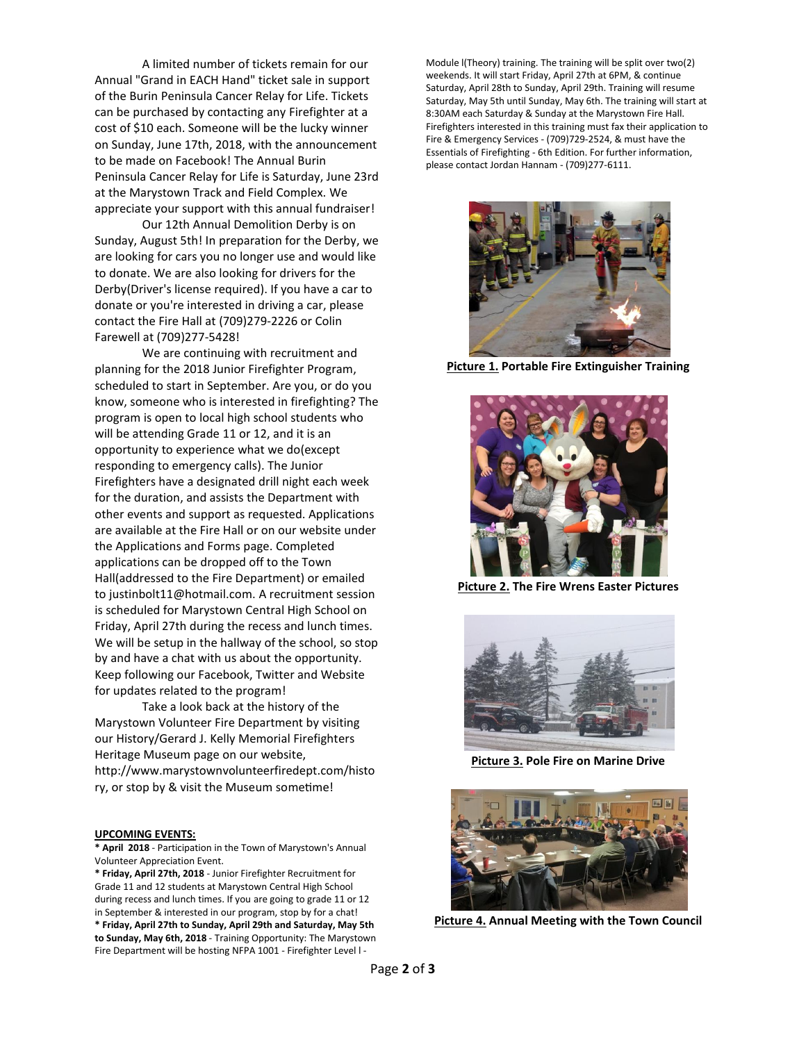A limited number of tickets remain for our Annual "Grand in EACH Hand" ticket sale in support of the Burin Peninsula Cancer Relay for Life. Tickets can be purchased by contacting any Firefighter at a cost of \$10 each. Someone will be the lucky winner on Sunday, June 17th, 2018, with the announcement to be made on Facebook! The Annual Burin Peninsula Cancer Relay for Life is Saturday, June 23rd at the Marystown Track and Field Complex. We appreciate your support with this annual fundraiser!

Our 12th Annual Demolition Derby is on Sunday, August 5th! In preparation for the Derby, we are looking for cars you no longer use and would like to donate. We are also looking for drivers for the Derby(Driver's license required). If you have a car to donate or you're interested in driving a car, please contact the Fire Hall at (709)279-2226 or Colin Farewell at (709)277-5428!

We are continuing with recruitment and planning for the 2018 Junior Firefighter Program, scheduled to start in September. Are you, or do you know, someone who is interested in firefighting? The program is open to local high school students who will be attending Grade 11 or 12, and it is an opportunity to experience what we do(except responding to emergency calls). The Junior Firefighters have a designated drill night each week for the duration, and assists the Department with other events and support as requested. Applications are available at the Fire Hall or on our website under the Applications and Forms page. Completed applications can be dropped off to the Town Hall(addressed to the Fire Department) or emailed to justinbolt11@hotmail.com. A recruitment session is scheduled for Marystown Central High School on Friday, April 27th during the recess and lunch times. We will be setup in the hallway of the school, so stop by and have a chat with us about the opportunity. Keep following our Facebook, Twitter and Website for updates related to the program!

Take a look back at the history of the Marystown Volunteer Fire Department by visiting our History/Gerard J. Kelly Memorial Firefighters Heritage Museum page on our website, [http://www.marystownvolunteerfiredept.com/histo](http://www.marystownvolunteerfiredept.com/history) [ry,](http://www.marystownvolunteerfiredept.com/history) or stop by & visit the Museum sometime!

## **UPCOMING EVENTS:**

**\* April 2018** - Participation in the Town of Marystown's Annual Volunteer Appreciation Event.

**\* Friday, April 27th, 2018** - Junior Firefighter Recruitment for Grade 11 and 12 students at Marystown Central High School during recess and lunch times. If you are going to grade 11 or 12 in September & interested in our program, stop by for a chat! **\* Friday, April 27th to Sunday, April 29th and Saturday, May 5th to Sunday, May 6th, 2018** - Training Opportunity: The Marystown Fire Department will be hosting NFPA 1001 - Firefighter Level l -

Module l(Theory) training. The training will be split over two(2) weekends. It will start Friday, April 27th at 6PM, & continue Saturday, April 28th to Sunday, April 29th. Training will resume Saturday, May 5th until Sunday, May 6th. The training will start at 8:30AM each Saturday & Sunday at the Marystown Fire Hall. Firefighters interested in this training must fax their application to Fire & Emergency Services - (709)729-2524, & must have the Essentials of Firefighting - 6th Edition. For further information, please contact Jordan Hannam - (709)277-6111.



**Picture 1. Portable Fire Extinguisher Training**



**Picture 2. The Fire Wrens Easter Pictures**



**Picture 3. Pole Fire on Marine Drive**



**Picture 4. Annual Meeting with the Town Council**